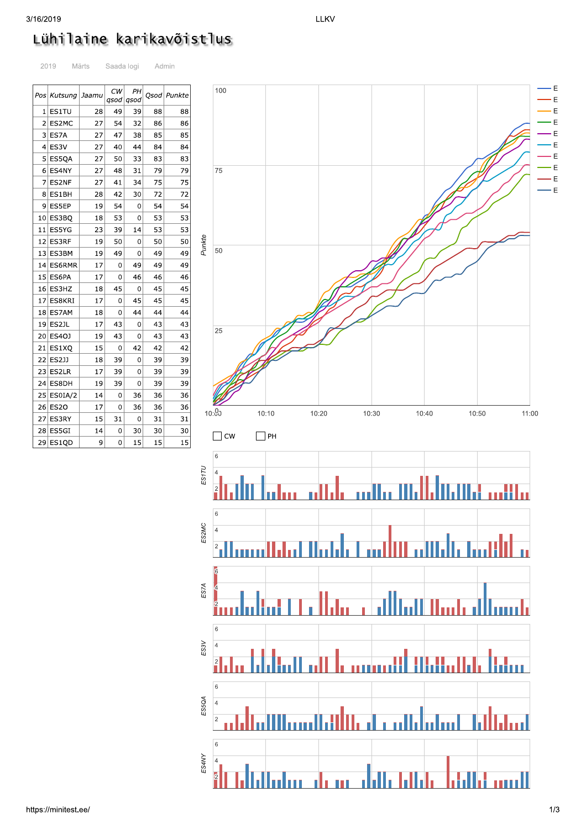| 3/16/2019 |                                  |       |                 |            |    |               |        |              |
|-----------|----------------------------------|-------|-----------------|------------|----|---------------|--------|--------------|
|           | Lühilaine karikavõistlus<br>2019 | Märts |                 | Saada logi |    | Admin         |        |              |
|           | Pos   Kutsung                    | Jaamu | СW<br>qsod qsod | PН         |    | Qsod   Punkte |        | 100          |
|           | $1$   ES1TU                      | 28    | 49              | 39         | 88 | 88            |        |              |
|           | 2 ES2MC                          | 27    | 54              | 32         | 86 | 86            |        |              |
|           | $3$ ES7A                         | 27    | 47              | 38         | 85 | 85            |        |              |
|           | $4$  ES3V                        | 27    | 40              | 44         | 84 | 84            |        |              |
|           | 5 ES5QA                          | 27    | 50              | 33         | 83 | 83            |        |              |
|           | 6 ES4NY                          | 27    | 48              | 31         | 79 | 79            |        | 75           |
|           | 7 ES2NF                          | 27    | 41              | 34         | 75 | 75            |        |              |
|           | 8 ES1BH                          | 28    | 42              | 30         | 72 | 72            |        |              |
|           | 9 ES5EP                          | 19    | 54              | 0          | 54 | 54            |        |              |
|           | 10 ES3BQ                         | 18    | 53              | 0          | 53 | 53            |        |              |
| 11        | ES5YG                            | 23    | 39              | 14         | 53 | 53            |        |              |
| 12        | ES3RF                            | 19    | 50              | 0          | 50 | 50            |        |              |
|           | 13 ES3BM                         | 19    | 49              | 0          | 49 | 49            | Punkte | 50           |
|           | 14 ES6RMR                        | 17    | 0               | 49         | 49 | 49            |        |              |
| 15        | ES6PA                            | 17    | 0               | 46         | 46 | 46            |        |              |
|           | 16 ES3HZ                         | 18    | 45              | 0          | 45 | 45            |        |              |
| 17        | ES8KRI                           | 17    | 0               | 45         | 45 | 45            |        |              |
|           | 18 ES7AM                         | 18    | 0               | 44         | 44 | 44            |        |              |
| 19        | ES2JL                            | 17    | 43              | 0          | 43 | 43            |        |              |
| 20        | ES4OJ                            | 19    | 43              | 0          | 43 | 43            |        | 25           |
| 21        | ES1XQ                            | 15    | 0               | 42         | 42 | 42            |        |              |
| 22        | ES2JJ                            | 18    | 39              | 0          | 39 | 39            |        |              |
|           | $23$ ES2LR                       | 17    | 39              | 0          | 39 | 39            |        |              |
| 24        | ES8DH                            | 19    | 39              | 0          | 39 | 39            |        |              |
|           |                                  |       |                 |            |    |               |        |              |
|           | 25 ES0IA/2                       | 14    | 0               | 36         | 36 | 36            |        |              |
|           | 26 ES20                          | 17    | 0               | 36         | 36 | 36            |        | 10:90        |
| 27        | ES3RY                            | 15    | 31              | 0          | 31 | 31            |        |              |
|           | $28$ ES5GI                       | 14    | 0               | 30         | 30 | 30            |        | $\exists$ cw |
|           | $29$ ES1QD                       | 9     | 0               | 15         | 15 | 15            |        |              |

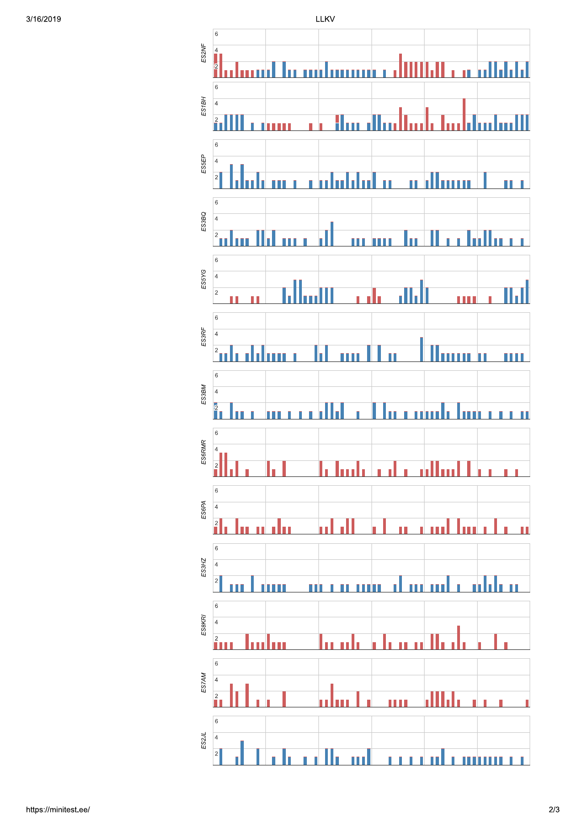